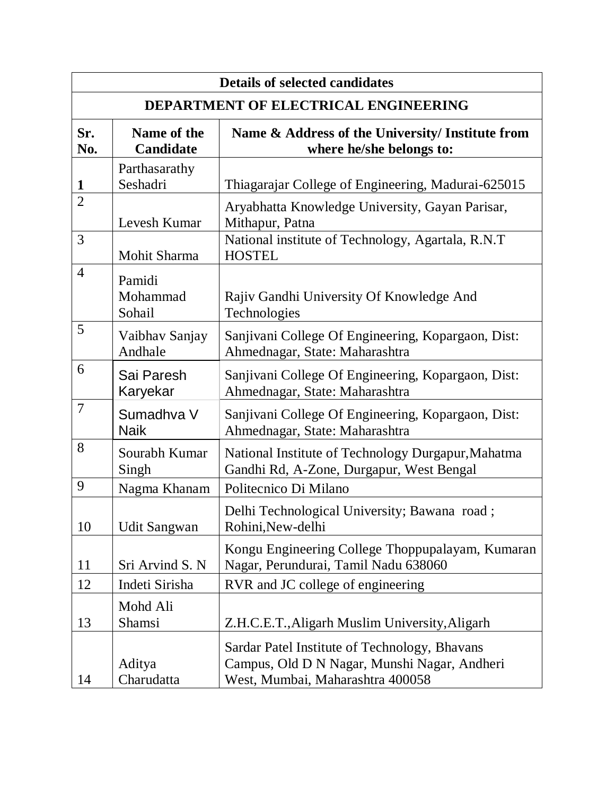| <b>Details of selected candidates</b>       |                                 |                                                                                                                                   |  |
|---------------------------------------------|---------------------------------|-----------------------------------------------------------------------------------------------------------------------------------|--|
| <b>DEPARTMENT OF ELECTRICAL ENGINEERING</b> |                                 |                                                                                                                                   |  |
| Sr.<br>No.                                  | Name of the<br><b>Candidate</b> | Name & Address of the University/ Institute from<br>where he/she belongs to:                                                      |  |
| 1                                           | Parthasarathy<br>Seshadri       | Thiagarajar College of Engineering, Madurai-625015                                                                                |  |
| $\overline{2}$                              | Levesh Kumar                    | Aryabhatta Knowledge University, Gayan Parisar,<br>Mithapur, Patna                                                                |  |
| 3                                           | Mohit Sharma                    | National institute of Technology, Agartala, R.N.T<br><b>HOSTEL</b>                                                                |  |
| $\overline{4}$                              | Pamidi<br>Mohammad<br>Sohail    | Rajiv Gandhi University Of Knowledge And<br>Technologies                                                                          |  |
| 5                                           | Vaibhav Sanjay<br>Andhale       | Sanjivani College Of Engineering, Kopargaon, Dist:<br>Ahmednagar, State: Maharashtra                                              |  |
| 6                                           | Sai Paresh<br>Karyekar          | Sanjivani College Of Engineering, Kopargaon, Dist:<br>Ahmednagar, State: Maharashtra                                              |  |
| $\overline{7}$                              | Sumadhva V<br><b>Naik</b>       | Sanjivani College Of Engineering, Kopargaon, Dist:<br>Ahmednagar, State: Maharashtra                                              |  |
| 8                                           | Sourabh Kumar<br>Singh          | National Institute of Technology Durgapur, Mahatma<br>Gandhi Rd, A-Zone, Durgapur, West Bengal                                    |  |
| 9                                           | Nagma Khanam                    | Politecnico Di Milano                                                                                                             |  |
| 10                                          | Udit Sangwan                    | Delhi Technological University; Bawana road;<br>Rohini, New-delhi                                                                 |  |
| 11                                          | Sri Arvind S. N                 | Kongu Engineering College Thoppupalayam, Kumaran<br>Nagar, Perundurai, Tamil Nadu 638060                                          |  |
| 12                                          | Indeti Sirisha                  | RVR and JC college of engineering                                                                                                 |  |
| 13                                          | Mohd Ali<br>Shamsi              | Z.H.C.E.T., Aligarh Muslim University, Aligarh                                                                                    |  |
| 14                                          | Aditya<br>Charudatta            | Sardar Patel Institute of Technology, Bhavans<br>Campus, Old D N Nagar, Munshi Nagar, Andheri<br>West, Mumbai, Maharashtra 400058 |  |